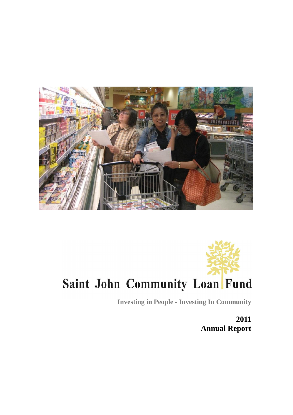



**Investing in People - Investing In Community**

**2011 Annual Report**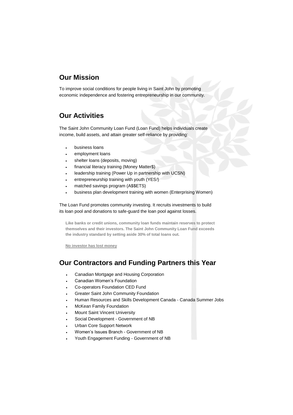# **Our Mission**

To improve social conditions for people living in Saint John by promoting economic independence and fostering entrepreneurship in our community.

# **Our Activities**

The Saint John Community Loan Fund (Loan Fund) helps individuals create income, build assets, and attain greater self-reliance by providing:

- business loans
- employment loans
- shelter loans (deposits, moving)
- financial literacy training (Money Matter\$)
- leadership training (Power Up in partnership with UCSN)
- entrepreneurship training with youth (YES*!*)
- matched savings program (A\$\$ETS)
- business plan development training with women (Enterprising Women)

The Loan Fund promotes community investing. It recruits investments to build its loan pool and donations to safe-guard the loan pool against losses.

**Like banks or credit unions, community loan funds maintain reserves to protect themselves and their investors. The Saint John Community Loan Fund exceeds the industry standard by setting aside 30% of total loans out.**

**No investor has lost money**

# **Our Contractors and Funding Partners this Year**

- Canadian Mortgage and Housing Corporation
- Canadian Women's Foundation
- Co-operators Foundation CED Fund
- Greater Saint John Community Foundation
- Human Resources and Skills Development Canada Canada Summer Jobs
- McKean Family Foundation
- Mount Saint Vincent University
- Social Development Government of NB
- Urban Core Support Network
- Women's Issues Branch Government of NB
- Youth Engagement Funding Government of NB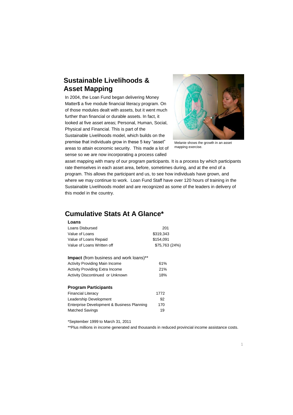# **Sustainable Livelihoods & Asset Mapping**

In 2004, the Loan Fund began delivering Money Matter\$ a five module financial literacy program. On of those modules dealt with assets, but it went much further than financial or durable assets. In fact, it looked at five asset areas; Personal, Human, Social, Physical and Financial. This is part of the Sustainable Livelihoods model, which builds on the premise that individuals grow in these 5 key "asset" areas to attain economic security. This made a lot of sense so we are now incorporating a process called



Melanie shows the growth in an asset mapping exercise.

asset mapping with many of our program participants. It is a process by which participants rate themselves in each asset area, before, sometimes during, and at the end of a program. This allows the participant and us, to see how individuals have grown, and where we may continue to work. Loan Fund Staff have over 120 hours of training in the Sustainable Livelihoods model and are recognized as some of the leaders in delivery of this model in the country.

# **Cumulative Stats At A Glance\***

| Loans                                          |                |
|------------------------------------------------|----------------|
| Loans Disbursed                                | 201            |
| Value of Loans                                 | \$319,343      |
| Value of Loans Repaid                          | \$154.091      |
| Value of Loans Written off                     | \$75,763 (24%) |
| <b>Impact</b> (from business and work loans)** |                |
| <b>Activity Providing Main Income</b>          | 61%            |
| <b>Activity Providing Extra Income</b>         | 21%            |
| Activity Discontinued or Unknown               | 18%            |
| <b>Program Participants</b>                    |                |
| <b>Financial Literacy</b>                      | 1772           |
| Leadership Development                         | 92             |
| Enterprise Development & Business Planning     | 170            |
| <b>Matched Savings</b>                         | 19             |

\*September 1999 to March 31, 2011

\*\*Plus millions in income generated and thousands in reduced provincial income assistance costs.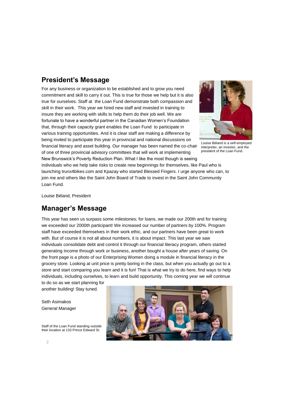# **President's Message**

For any business or organization to be established and to grow you need commitment and skill to carry it out. This is true for those we help but it is also true for ourselves. Staff at the Loan Fund demonstrate both compassion and skill in their work. This year we hired new staff and invested in training to insure they are working with skills to help them do their job well. We are fortunate to have a wonderful partner in the Canadian Women's Foundation that, through their capacity grant enables the Loan Fund to participate in various training opportunities. And it is clear staff are making a difference by being invited to participate this year in provincial and national discussions on financial literacy and asset building. Our manager has been named the co-chair

of one of three provincial advisory committees that will work at implementing



Louise Béland is a self-employed interpreter, an investor, and the president of the Loan Fund.

New Brunswick's Poverty Reduction Plan. What I like the most though is seeing individuals who we help take risks to create new beginnings for themselves, like Paul who is launching trunx4bikes.com and Kpazay who started Blessed Fingers. I urge anyone who can, to join me and others like the Saint John Board of Trade to invest in the Saint John Community Loan Fund.

Louise Béland, President

# **Manager's Message**

This year has seen us surpass some milestones; for loans, we made our 200th and for training we exceeded our 2000th participant! We increased our number of partners by 100%. Program staff have exceeded themselves in their work ethic, and our partners have been great to work with. But of course it is not all about numbers, it is about impact. This last year we saw individuals consolidate debt and control it through our financial literacy program, others started generating income through work or business, another bought a house after years of saving. On the front page is a photo of our Enterprising Women doing a module in financial literacy in the grocery store. Looking at unit price is pretty boring in the class, but when you actually go out to a store and start comparing you learn and it is fun! That is what we try to do here, find ways to help individuals, including ourselves, to learn and build opportunity. This coming year we will continue to do so as we start planning for

another building! Stay tuned.

Seth Asimakos General Manager

Staff of the Loan Fund standing outside their location at 133 Prince Edward St.

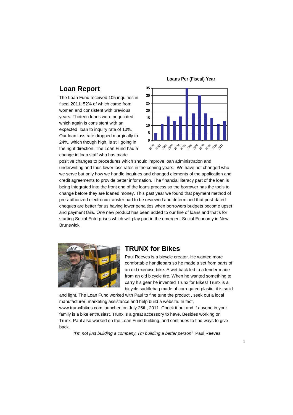# **Loan Report**

The Loan Fund received 105 inquiries in fiscal 2011; 52% of which came from women and consistent with previous years. Thirteen loans were negotiated which again is consistent with an expected loan to inquiry rate of 10%. Our loan loss rate dropped marginally to 24%, which though high, is still going in the right direction. The Loan Fund had a change in loan staff who has made





positive changes to procedures which should improve loan administration and underwriting and thus lower loss rates in the coming years. We have not changed who we serve but only how we handle inquiries and changed elements of the application and credit agreements to provide better information. The financial literacy part of the loan is being integrated into the front end of the loans process so the borrower has the tools to change before they are loaned money. This past year we found that payment method of pre-authorized electronic transfer had to be reviewed and determined that post-dated cheques are better for us having lower penalties when borrowers budgets become upset and payment fails. One new product has been added to our line of loans and that's for starting Social Enterprises which will play part in the emergent Social Economy in New Brunswick.



## **TRUNX for Bikes**

Paul Reeves is a bicycle creator. He wanted more comfortable handlebars so he made a set from parts of an old exercise bike. A wet back led to a fender made from an old bicycle tire. When he wanted something to carry his gear he invented Trunx for Bikes! Trunx is a bicycle saddlebag made of corrugated plastic, it is solid

and light. The Loan Fund worked with Paul to fine tune the product , seek out a local manufacturer, marketing assistance and help build a website. In fact, www.trunx4bikes.com launched on July 25th, 2011. Check it out and if anyone in your family is a bike enthusiast, Trunx is a great accessory to have. Besides working on Trunx, Paul also worked on the Loan Fund building, and continues to find ways to give back.

*"I'm not just building a company, I'm building a better person"* Paul Reeves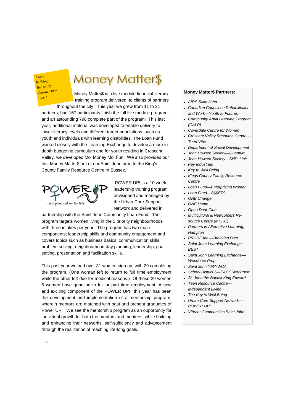Assets Banking Budgeting Consumerism **Credit** 

# **Money Matter\$**

Money Matter\$ is a five module financial literacy training program delivered to clients of partners throughout the city. This year we grew from 11 to 21 partners; had 167 participants finish the full five module program; and an astounding 798 complete part of the program! This last year, additional material was developed to enable delivery to lower literacy levels and different target populations, such as youth and individuals with learning disabilities. The Loan Fund worked closely with the Learning Exchange to develop a more indepth budgeting curriculum and for youth residing in Crescent Valley, we developed Mo' Money Mo' Fun. We also provided our first Money Matter\$ out of our Saint John area to the King's County Family Resource Centre in Sussex.



POWER UP! is a 10 week leadership training program envisioned and managed by the Urban Core Support Network and delivered in

partnership with the Saint John Community Loan Fund. The program targets women living in the 5 priority neighbourhoods with three intakes per year. The program has two main components; leadership skills and community engagement and covers topics such as business basics, communication skills, problem solving, neighbourhood day planning, leadership, goal setting, presentation and facilitation skills.

This past year we had over 31 women sign up, with 29 completing the program. (One woman left to return to full time employment while the other left due for medical reasons.) Of these 29 women 6 women have gone on to full or part time employment. A new and exciting component of the POWER UP! this year has been the development and implementation of a mentorship program; wherein mentors are matched with past and present graduates of Power UP! We see the mentorship program as an opportunity for individual growth for both the mentors and mentees, while building and enhancing their networks, self-sufficiency and advancement through the realization of reaching life-long goals.

#### **Money Matter\$ Partners:**

- *AIDS Saint John*
- *Canadian Council on Rehabilitation and Work—Youth to Futures*
- *Community Adult Learning Program (CALP)*
- *Coverdale Centre for Women*
- *Crescent Valley Resource Centre— Teen Vibe*
- *Department of Social Development*
- *John Howard Society—Quantum*
- *John Howard Society—Skills Link*
- *Key Industries*
- *Key to Well Being*
- *Kings County Family Resource Centre*
- *Loan Fund—Enterprising Women*
- *Loan Fund—A\$\$ETS*
- *ONE Change*
- *ONE Home*
- *Open Door Club*
- *Multicultural & Newcomers Resource Centre (MNRC)*
- *Partners in Alternative Learning, Hampton*
- *PRUDE Inc.—Breaking Free*
- *Saint John Learning Exchange— BEST*
- *Saint John Learning Exchange— Workforce Prep*
- *Saint John YM/YWCA*
- *School District 6—PACE Workroom*
- *St. John the Baptist King Edward*
- *Teen Resource Centre— Independent Living*
- *The Key to Well Being*
- *Urban Core Support Network— POWER UP!*
- *Vibrant Communities Saint John*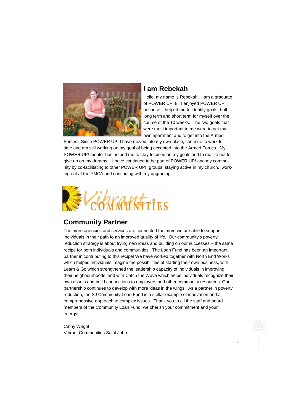

# **I am Rebekah**

Hello, my name is Rebekah. I am a graduate of POWER UP! 8. I enjoyed POWER UP! because it helped me to identify goals, both long term and short term for myself over the course of the 10 weeks. The two goals that were most important to me were to get my own apartment and to get into the Armed

Forces. Since POWER UP! I have moved into my own place, continue to work full time and am still working on my goal of being accepted into the Armed Forces. My POWER UP! mentor has helped me to stay focused on my goals and to realize not to give up on my dreams. I have continued to be part of POWER UP! and my community by co-facilitating to other POWER UP! groups, staying active in my church, working out at the YMCA and continuing with my upgrading.



# **Community Partner**

The more agencies and services are connected the more we are able to support individuals in their path to an improved quality of life. Our community's poverty reduction strategy is about trying new ideas and building on our successes – the same recipe for both individuals and communities. The Loan Fund has been an important partner in contributing to this recipe! We have worked together with North End Works which helped individuals imagine the possibilities of starting their own business, with Learn & Go which strengthened the leadership capacity of individuals in improving their neighbourhoods, and with Catch the Wave which helps individuals recognize their own assets and build connections to employers and other community resources. Our partnership continues to develop with more ideas in the wings. As a partner in poverty reduction, the SJ Community Loan Fund is a stellar example of innovation and a comprehensive approach to complex issues. Thank you to all the staff and board members of the Community Loan Fund; we cherish your commitment and your energy!

Cathy Wright Vibrant Communities Saint John

5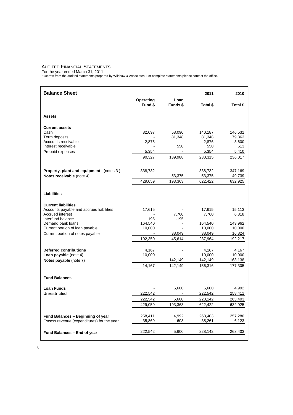#### AUDITED FINANCIAL STATEMENTS

For the year ended March 31, 2011 Excerpts from the audited statements prepared by Wilshaw & Associates. For complete statements please contact the office.

| <b>Balance Sheet</b>                                                            |                      |                  | 2011                 | 2010             |
|---------------------------------------------------------------------------------|----------------------|------------------|----------------------|------------------|
|                                                                                 | Operating<br>Fund \$ | Loan<br>Funds \$ | Total \$             | Total \$         |
|                                                                                 |                      |                  |                      |                  |
| <b>Assets</b>                                                                   |                      |                  |                      |                  |
| <b>Current assets</b>                                                           |                      |                  |                      |                  |
| Cash                                                                            | 82,097               | 58,090           | 140,187              | 146,531          |
| Term deposits<br>Accounts receivable                                            | 2,876                | 81,348           | 81,348<br>2,876      | 79,863<br>3,600  |
| Interest receivable                                                             |                      | 550              | 550                  | 613              |
| Prepaid expenses                                                                | 5,354                |                  | 5,354                | 5,410            |
|                                                                                 | 90,327               | 139,988          | 230,315              | 236,017          |
| <b>Property, plant and equipment</b> (notes 3)                                  | 338,732              |                  | 338,732              | 347,169          |
| Notes receivable (note 4)                                                       | ÷,                   | 53,375           | 53,375               | 49,739           |
|                                                                                 | 429,059              | 193,363          | 622,422              | 632,925          |
| <b>Liabilities</b>                                                              |                      |                  |                      |                  |
| <b>Current liabilities</b>                                                      |                      |                  |                      |                  |
| Accounts payable and accrued liabilities                                        | 17,615               |                  | 17,615               | 15,113           |
| Accrued interest<br>Interfund balance                                           | 195                  | 7,760<br>$-195$  | 7,760                | 6,318            |
| Demand bank loans                                                               | 164,540              |                  | 164,540              | 143,962          |
| Current portion of loan payable                                                 | 10,000               |                  | 10,000               | 10,000           |
| Current portion of notes payable                                                |                      | 38,049           | 38,049               | 16,824           |
|                                                                                 | 192,350              | 45,614           | 237,964              | 192,217          |
|                                                                                 |                      |                  |                      |                  |
| <b>Deferred contributions</b><br>Loan payable (note 4)                          | 4,167<br>10,000      |                  | 4,167<br>10,000      | 4,167<br>10,000  |
| Notes payable (note 7)                                                          |                      | 142,149          | 142,149              | 163,138          |
|                                                                                 | 14,167               | 142,149          | 156,316              | 177,305          |
|                                                                                 |                      |                  |                      |                  |
| <b>Fund Balances</b>                                                            |                      |                  |                      |                  |
| <b>Loan Funds</b>                                                               |                      | 5,600            | 5,600                | 4,992            |
| <b>Unrestricted</b>                                                             | 222,542              |                  | 222,542              | 258,411          |
|                                                                                 | 222,542              | 5,600            | 228,142              | 263,403          |
|                                                                                 | 429,059              | 193,363          | 622,422              | 632,925          |
|                                                                                 |                      |                  |                      |                  |
| Fund Balances - Beginning of year<br>Excess revenue (expenditures) for the year | 258,411<br>$-35,869$ | 4,992<br>608     | 263,403<br>$-35,261$ | 257,280<br>6,123 |
|                                                                                 |                      |                  |                      |                  |
| Fund Balances - End of year                                                     | 222,542              | 5,600            | 228,142              | 263,403          |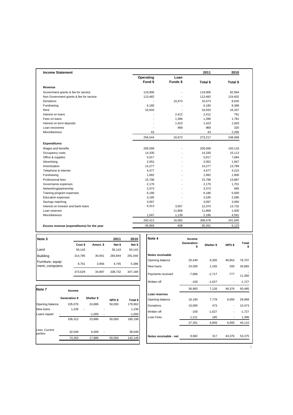| <b>Income Statement</b>                    |                          |                | 2011      | 2010     |
|--------------------------------------------|--------------------------|----------------|-----------|----------|
|                                            | Operating                | Loan           |           |          |
|                                            | Fund \$                  | Funds \$       | Total \$  | Total \$ |
| Revenue                                    |                          |                |           |          |
| Government grants & fee for service        | 119,906                  |                | 119,906   | 82,994   |
| Non Government grants & fee for service    | 113,482                  |                | 113,482   | 124,602  |
| Donations                                  |                          | 10,473         | 10,473    | 8,635    |
| Fundraising                                | 6,180                    |                | 6,180     | 8,388    |
| Rent                                       | 16,933                   | ÷.             | 16,933    | 16,337   |
| Interest on loans                          |                          | 2,412          | 2,412     | 791      |
| Fees on loans                              | $\overline{a}$           | 1,396          | 1,396     | 1,781    |
| Interest on term deposits                  | $\overline{a}$           | 1,423          | 1,423     | 1,920    |
| Loan recoveries                            | $\overline{\phantom{a}}$ | 969            | 969       | 325      |
| Miscellaneous                              | 43                       | $\blacksquare$ | 43        | 2,295    |
|                                            | 256,544                  | 16,673         | 273,217   | 248,068  |
| <b>Expenditures</b>                        |                          |                |           |          |
| Wages and benefits                         | 206,099                  |                | 206,099   | 150,116  |
| Occupancy costs                            | 14,330                   |                | 14,330    | 15,113   |
| Office & supplies                          | 5,017                    |                | 5,017     | 7,684    |
| Advertising                                | 2,052                    |                | 2,052     | 1,947    |
| Amortization                               | 14,277                   |                | 14,277    | 13,789   |
| Telephone & internet                       | 4,477                    |                | 4,477     | 4,215    |
| Fundraising                                | 1,992                    |                | 1,992     | 1,900    |
| Professional fees                          | 15,798                   |                | 15,798    | 13,887   |
| Governance expenses                        | 2.170                    | $\overline{a}$ | 2.170     | 1.701    |
| Networking/partnership                     | 3,373                    | $\overline{a}$ | 3,373     | 685      |
| Training program expenses                  | 6,186                    |                | 6,186     | 5,000    |
| <b>Education expenses</b>                  | 3,185                    | ÷              | 3,185     | 2,595    |
| Savings matching                           | 3,097                    | $\overline{a}$ | 3,097     | 3,060    |
| Interest on investor and bank loans        | 9,313                    | 3,057          | 12,370    | 13,732   |
| Loan reserves                              |                          | 11,869         | 11,869    | 1,930    |
| Miscellaneous                              | 1,047                    | 1,139          | 2,186     | 4,591    |
|                                            | 292,413                  | 16,065         | 308,478   | 241,945  |
| Excess revenue (expenditures) for the year | $-35,869$                | 608            | $-35,261$ | 6,123    |

| Note 3                               |         |           | 2011    | 2010    |
|--------------------------------------|---------|-----------|---------|---------|
|                                      | Cost \$ | Amort. \$ | Net \$  | Net \$  |
| Land                                 | 50,143  |           | 50,143  | 50,143  |
| Building                             | 314,785 | 30,941    | 283.844 | 291.640 |
| Furniture, equip-<br>ment, computers | 8.701   | 3,956     | 4.745   | 5,386   |
|                                      | 373,629 | 34,897    | 338,732 | 347,169 |

| <b>Note 7</b>            | Income               |            |                   |          |
|--------------------------|----------------------|------------|-------------------|----------|
|                          | <b>Generation \$</b> | Shelter \$ | NPO <sub>\$</sub> | Total \$ |
| Opening balance          | 105.076              | 24,886     | 50,000            | 179,962  |
| New loans                | 1.236                |            |                   | 1,236    |
| Loans repaid             |                      | $-1,000$   |                   | $-1,000$ |
|                          | 106,312              | 23,886     | 50,000            | 180,198  |
| Less: Current<br>portion | 32.049               | 6.000      |                   | 38.049   |
|                          | 74,263               | 17,886     | 50,000            | 142,149  |
|                          |                      |            |                   |          |

| Note 4                 | Income<br>Generation<br>\$ | Shelter \$ | NPO <sub>\$</sub> | Total<br>\$ |
|------------------------|----------------------------|------------|-------------------|-------------|
| Notes receivable       |                            |            |                   |             |
| Opening balance        | 20,449                     | 9,305      | 49,953            | 79,707      |
| New loans              | 24,500                     | 2,165      | 200               | 26,865      |
| Payments received      | $-7,866$                   | $-2,717$   | $-777$            | 11,360      |
| Written off            | $-100$                     | $-1,627$   |                   | $-1,727$    |
|                        | 36,983                     | 7,126      | 49,376            | 93,485      |
| Loan reserves          |                            |            |                   |             |
| Opening balance        | 16,190                     | 7,778      | 6,000             | 29,968      |
| Donations              | 10,000                     | 473        |                   | 10,473      |
| Written off            | $-100$                     | $-1,627$   |                   | $-1,727$    |
| Loan Fees              | 1,211                      | 185        | -                 | 1,396       |
|                        | 27,301                     | 6,809      | 6,000             | 40,110      |
| Notes receivable - net | 9,682                      | 317        | 43,376            | 53,375      |

7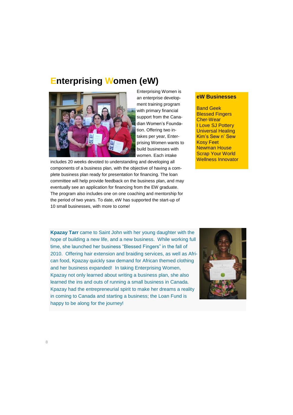# **Enterprising Women (eW)**



Enterprising Women is an enterprise development training program with primary financial support from the Canadian Women's Foundation. Offering two intakes per year, Enterprising Women wants to build businesses with women. Each intake

includes 20 weeks devoted to understanding and developing all components of a business plan, with the objective of having a complete business plan ready for presentation for financing. The loan committee will help provide feedback on the business plan, and may eventually see an application for financing from the EW graduate. The program also includes one on one coaching and mentorship for the period of two years. To date, eW has supported the start-up of 10 small businesses, with more to come!

#### **eW Businesses**

Band Geek Blessed Fingers Cher-Wear I Love SJ Pottery Universal Healing Kim's Sew n' Sew Kosy Feet Newman House Scrap Your World Wellness Innovator

**Kpazay Tarr** came to Saint John with her young daughter with the hope of building a new life, and a new business. While working full time, she launched her business "Blessed Fingers" in the fall of 2010. Offering hair extension and braiding services, as well as African food, Kpazay quickly saw demand for African themed clothing and her business expanded! In taking Enterprising Women, Kpazay not only learned about writing a business plan, she also learned the ins and outs of running a small business in Canada. Kpazay had the entrepreneurial spirit to make her dreams a reality in coming to Canada and starting a business; the Loan Fund is happy to be along for the journey!

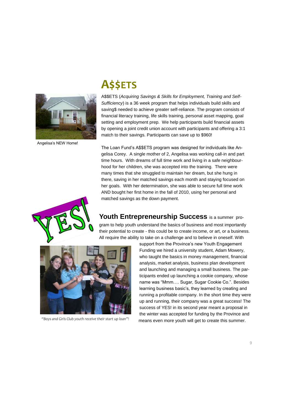

Angelisa's NEW Home!

# **A\$\$ETS**

A\$\$ETS (*Acquiring Savings & Skills for Employment, Training and Self-Sufficiency*) is a 36 week program that helps individuals build skills and saving\$ needed to achieve greater self-reliance. The program consists of financial literacy training, life skills training, personal asset mapping, goal setting and employment prep. We help participants build financial assets by opening a joint credit union account with participants and offering a 3:1 match to their savings. Participants can save up to \$960!

The Loan Fund's A\$\$ETS program was designed for individuals like Angelisa Corey. A single mother of 2, Angelisa was working call-in and part time hours. With dreams of full time work and living in a safe neighbourhood for her children, she was accepted into the training. There were many times that she struggled to maintain her dream, but she hung in there, saving in her matched savings each month and staying focused on her goals. With her determination, she was able to secure full time work AND bought her first home in the fall of 2010, using her personal and matched savings as the down payment.



**Youth Entrepreneurship Success** is a summer program to help youth understand the basics of business and most importantly their potential to create - this could be to create income, or art, or a business. All require the ability to take on a challenge and to believe in oneself. With



support from the Province's new Youth Engagement Funding we hired a university student, Adam Mowery, who taught the basics in money management, financial analysis, market analysis, business plan development and launching and managing a small business. The participants ended up launching a cookie company, whose name was "Mmm…. Sugar, Sugar Cookie Co.". Besides learning business basic's, they learned by creating and running a profitable company. In the short time they were up and running, their company was a great success! The success of YES! in its second year meant a proposal in the winter was accepted for funding by the Province and "Boys and Girls Club youth receive their start up loan"! **"Wheen way are youth will get to create this summer.**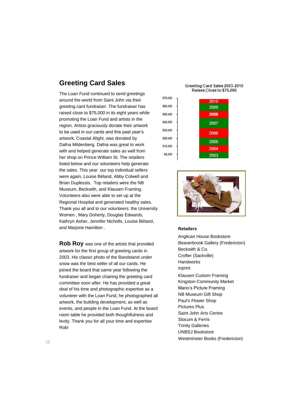# **Greeting Card Sales**

The Loan Fund continued to send greetings around the world from Saint John via their greeting card fundraiser. The fundraiser has raised close to \$75,000 in its eight years while promoting the Loan Fund and artists in the region. Artists graciously donate their artwork to be used in our cards and this past year's artwork, Coastal Alight, was donated by Dafna Mildenberg. Dafna was great to work with and helped generate sales as well from her shop on Prince William St. The retailers listed below and our volunteers help generate the sales. This year our top individual sellers were again, Louise Béland, Abby Colwell and Brian Duplessis. Top retailers were the NB Museum, Beckwith, and Klausen Framing. Volunteers also were able to set up at the Regional Hospital and generated healthy sales. Thank you all and to our volunteers: the University Women , Mary Doherty, Douglas Edwards, Kathryn Asher, Jennifer Nicholls, Louise Béland, and Marjorie Hamilton .

**Rob Roy** was one of the artists that provided artwork for the first group of greeting cards in 2003. His classic photo of the Bandstand under snow was the best seller of all our cards. He joined the board that same year following the fundraiser and began chairing the greeting card committee soon after. He has provided a great deal of his time and photographic expertise as a volunteer with the Loan Fund, he photographed all artwork, the building development, as well as events, and people in the Loan Fund. At the board room table he provided both thoughtfulness and levity. Thank you for all your time and expertise Rob!

Greeting Card Sales 2003-2010 Raises Close to \$75,000





#### **Retailers**

Anglican House Bookstore Beaverbrook Gallery (Fredericton) Beckwith & Co. Crofter (Sackville) Handworks inprint Klausen Custom Framing Kingston Community Market Mario's Picture Framing NB Museum Gift Shop Paul's Flower Shop Pictures Plus Saint John Arts Centre Slocum & Ferris Trinity Galleries UNBSJ Bookstore Westminster Books (Fredericton)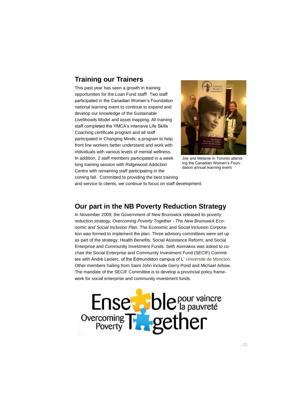# **Training our Trainers**

This past year has seen a growth in training opportunities for the Loan Fund staff! Two staff participated in the Canadian Women's Foundation national learning event to continue to expand and develop our knowledge of the Sustainable Livelihoods Model and asset mapping. All training staff completed the YMCA's intensive Life Skills Coaching certificate program and all staff participated in Changing Minds; a program to help front line workers better understand and work with individuals with various levels of mental wellness. In addition, 2 staff members participated in a week long training session with Ridgewood Addiction Centre with remaining staff participating in the coming fall. Committed to providing the best training



Joe and Melanie in Toronto attending the Canadian Women's Foundation annual learning event

and service to clients, we continue to focus on staff development.

### **Our part in the NB Poverty Reduction Strategy**

In November 2009, the Government of New Brunswick released its poverty reduction strategy, *Overcoming Poverty Together - The New Brunswick Economic and Social Inclusion Plan.* The Economic and Social Inclusion Corporation was formed to implement the plan. Three advisory committees were set up as part of the strategy; Health Benefits; Social Assistance Reform; and Social Enterprise and Community Investment Funds. Seth Asimakos was asked to cochair the Social Enterprise and Community Investment Fund (SECIF) Committee with André Leclerc, of the Edmundston campus of L' Université de Moncton. Other members hailing from Saint John include Gerry Pond and Michael Arbow. The mandate of the SECIF Committee is to develop a provincial policy framework for social enterprise and community investment funds.

Ense ble pour vaincre<br>Overcoming Typether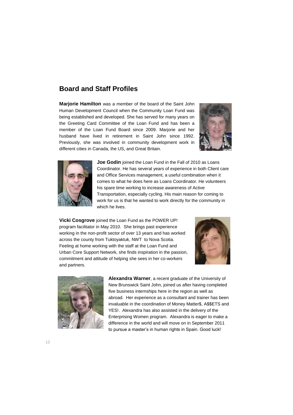# **Board and Staff Profiles**

**Marjorie Hamilton** was a member of the board of the Saint John Human Development Council when the Community Loan Fund was being established and developed. She has served for many years on the Greeting Card Committee of the Loan Fund and has been a member of the Loan Fund Board since 2009. Marjorie and her husband have lived in retirement in Saint John since 1992. Previously, she was involved in community development work in different cities in Canada, the US, and Great Britain.





**Joe Godin** joined the Loan Fund in the Fall of 2010 as Loans Coordinator. He has several years of experience in both Client care and Office Services management, a useful combination when it comes to what he does here as Loans Coordinator. He volunteers his spare time working to increase awareness of Active Transportation, especially cycling. His main reason for coming to work for us is that he wanted to work directly for the community in which he lives.

**Vicki Cosgrove** joined the Loan Fund as the POWER UP! program facilitator in May 2010. She brings past experience working in the non-profit sector of over 13 years and has worked across the county from Tuktoyaktuk, NWT to Nova Scotia. Feeling at home working with the staff at the Loan Fund and Urban Core Support Network, she finds inspiration in the passion, commitment and attitude of helping she sees in her co-workers and partners.





**Alexandra Warner**, a recent graduate of the University of New Brunswick Saint John, joined us after having completed five business internships here in the region as well as abroad. Her experience as a consultant and trainer has been invaluable in the coordination of Money Matter\$, A\$\$ETS and YES!. Alexandra has also assisted in the delivery of the Enterprising Women program. Alexandra is eager to make a difference in the world and will move on in September 2011 to pursue a master's in human rights in Spain. Good luck!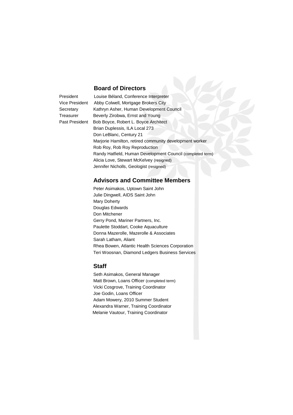#### **Board of Directors**

President Louise Béland, Conference Interpreter Vice President Abby Colwell, Mortgage Brokers City Secretary Kathryn Asher, Human Development Council Treasurer Beverly Zirobwa, Ernst and Young Past President Bob Boyce, Robert L. Boyce Architect Brian Duplessis, ILA Local 273 Don LeBlanc, Century 21 Marjorie Hamilton, retired community development worker Rob Roy, Rob Roy Reproduction Randy Hatfield, Human Development Council (completed term) Alicia Love, Stewart McKelvey (resigned) Jennifer Nicholls, Geologist (resigned)

### **Advisors and Committee Members**

 Peter Asimakos, Uptown Saint John Julie Dingwell, AIDS Saint John Mary Doherty Douglas Edwards Don Mitchener Gerry Pond, Mariner Partners, Inc. Paulette Stoddart, Cooke Aquaculture Donna Mazerolle, Mazerolle & Associates Sarah Latham, Aliant Rhea Bowen, Atlantic Health Sciences Corporation Teri Woosnan, Diamond Ledgers Business Services

#### **Staff**

Seth Asimakos, General Manager Matt Brown, Loans Officer (completed term) Vicki Cosgrove, Training Coordinator Joe Godin, Loans Officer Adam Mowery, 2010 Summer Student Alexandra Warner, Training Coordinator Melanie Vautour, Training Coordinator